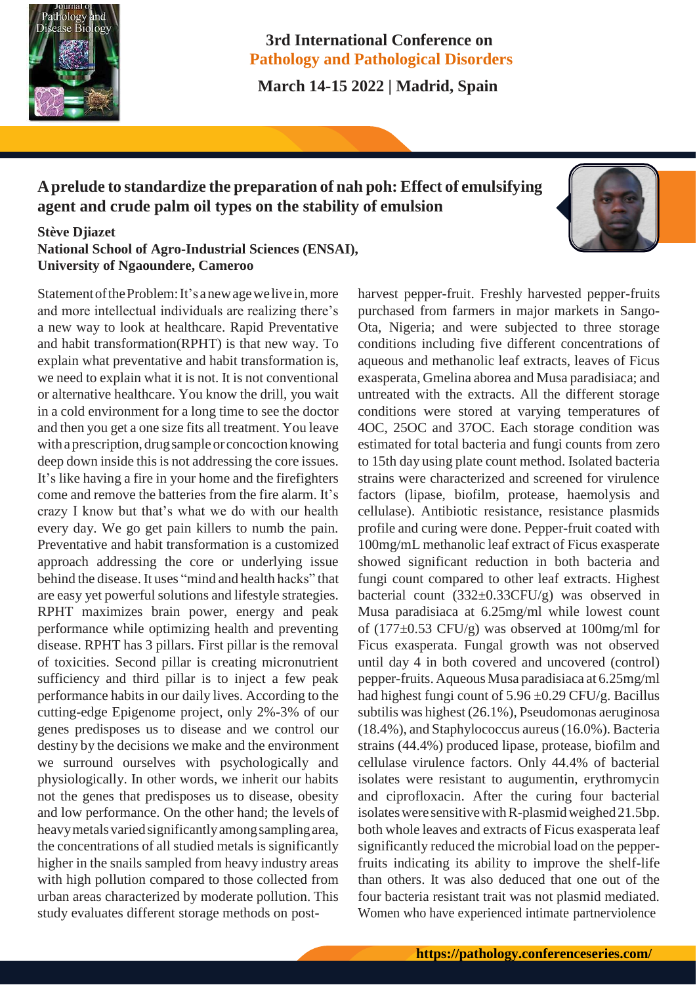

## **3rd International Conference on Pathology and Pathological Disorders**

 **March 14-15 2022 | Madrid, Spain**

# **Aprelude to standardize the preparation of nah poh: Effect of emulsifying agent and crude palm oil types on the stability of emulsion**

## **Stève Djiazet National School of Agro-Industrial Sciences (ENSAI), University of Ngaoundere, Cameroo**

Statement of the Problem: It's a new age we live in, more and more intellectual individuals are realizing there's a new way to look at healthcare. Rapid Preventative and habit transformation(RPHT) is that new way. To explain what preventative and habit transformation is, we need to explain what it is not. It is not conventional or alternative healthcare. You know the drill, you wait in a cold environment for a long time to see the doctor and then you get a one size fits all treatment. You leave with a prescription, drug sample or concoction knowing deep down inside this is not addressing the core issues. It's like having a fire in your home and the firefighters come and remove the batteries from the fire alarm. It's crazy I know but that's what we do with our health every day. We go get pain killers to numb the pain. Preventative and habit transformation is a customized approach addressing the core or underlying issue behind the disease. It uses "mind and health hacks" that are easy yet powerful solutions and lifestyle strategies. RPHT maximizes brain power, energy and peak performance while optimizing health and preventing disease. RPHT has 3 pillars. First pillar is the removal of toxicities. Second pillar is creating micronutrient sufficiency and third pillar is to inject a few peak performance habits in our daily lives. According to the cutting-edge Epigenome project, only 2%-3% of our genes predisposes us to disease and we control our destiny by the decisions we make and the environment we surround ourselves with psychologically and physiologically. In other words, we inherit our habits not the genes that predisposes us to disease, obesity and low performance. On the other hand; the levels of heavy metals varied significantly among sampling area, the concentrations of all studied metals is significantly higher in the snails sampled from heavy industry areas with high pollution compared to those collected from urban areas characterized by moderate pollution. This study evaluates different storage methods on post-

harvest pepper-fruit. Freshly harvested pepper-fruits purchased from farmers in major markets in Sango-Ota, Nigeria; and were subjected to three storage conditions including five different concentrations of aqueous and methanolic leaf extracts, leaves of Ficus exasperata, Gmelina aborea and Musa paradisiaca; and untreated with the extracts. All the different storage conditions were stored at varying temperatures of 4OC, 25OC and 37OC. Each storage condition was estimated for total bacteria and fungi counts from zero to 15th day using plate count method. Isolated bacteria strains were characterized and screened for virulence factors (lipase, biofilm, protease, haemolysis and cellulase). Antibiotic resistance, resistance plasmids profile and curing were done. Pepper-fruit coated with 100mg/mL methanolic leaf extract of Ficus exasperate showed significant reduction in both bacteria and fungi count compared to other leaf extracts. Highest bacterial count  $(332\pm0.33CFU/g)$  was observed in Musa paradisiaca at 6.25mg/ml while lowest count of  $(177\pm0.53$  CFU/g) was observed at 100mg/ml for Ficus exasperata. Fungal growth was not observed until day 4 in both covered and uncovered (control) pepper-fruits. Aqueous Musa paradisiaca at 6.25mg/ml had highest fungi count of  $5.96 \pm 0.29$  CFU/g. Bacillus subtilis was highest (26.1%), Pseudomonas aeruginosa (18.4%), and Staphylococcus aureus(16.0%). Bacteria strains (44.4%) produced lipase, protease, biofilm and cellulase virulence factors. Only 44.4% of bacterial isolates were resistant to augumentin, erythromycin and ciprofloxacin. After the curing four bacterial isolates were sensitive with R-plasmid weighed  $21.5$ bp. both whole leaves and extracts of Ficus exasperata leaf significantly reduced the microbial load on the pepperfruits indicating its ability to improve the shelf-life than others. It was also deduced that one out of the four bacteria resistant trait was not plasmid mediated. Women who have experienced intimate partnerviolence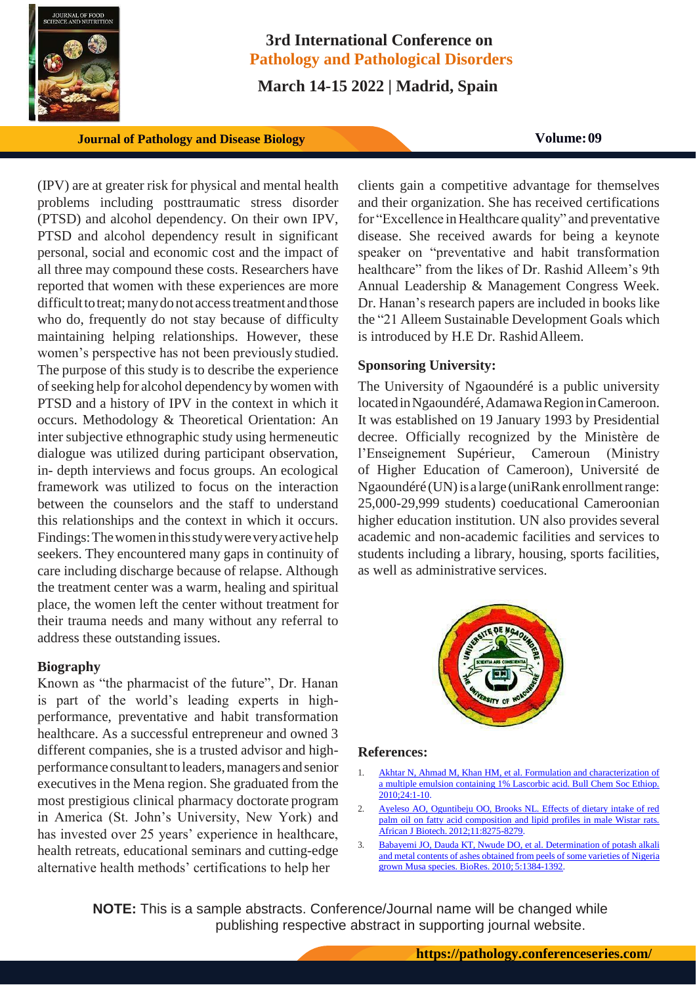

# **3rd International Conference on Pathology and Pathological Disorders**

 **March 14-15 2022 | Madrid, Spain**

*Journal of Pathology and Disease Biology* **<b>Volume:09** 

(IPV) are at greater risk for physical and mental health problems including posttraumatic stress disorder (PTSD) and alcohol dependency. On their own IPV, PTSD and alcohol dependency result in significant personal, social and economic cost and the impact of all three may compound these costs. Researchers have reported that women with these experiences are more difficult to treat; many do not access treatment and those who do, frequently do not stay because of difficulty maintaining helping relationships. However, these women's perspective has not been previously studied. The purpose of this study is to describe the experience of seeking help for alcohol dependency by women with PTSD and a history of IPV in the context in which it occurs. Methodology & Theoretical Orientation: An inter subjective ethnographic study using hermeneutic dialogue was utilized during participant observation, in- depth interviews and focus groups. An ecological framework was utilized to focus on the interaction between the counselors and the staff to understand this relationships and the context in which it occurs. Findings: The women in this study were very active help seekers. They encountered many gaps in continuity of care including discharge because of relapse. Although the treatment center was a warm, healing and spiritual place, the women left the center without treatment for their trauma needs and many without any referral to address these outstanding issues.

## **Biography**

Known as "the pharmacist of the future", Dr. Hanan is part of the world's leading experts in highperformance, preventative and habit transformation healthcare. As a successful entrepreneur and owned 3 different companies, she is a trusted advisor and highperformance consultant to leaders, managers and senior executives in the Mena region. She graduated from the most prestigious clinical pharmacy doctorate program in America (St. John's University, New York) and has invested over 25 years' experience in healthcare, health retreats, educational seminars and cutting-edge alternative health methods' certifications to help her

clients gain a competitive advantage for themselves and their organization. She has received certifications for "Excellence inHealthcare quality" and preventative disease. She received awards for being a keynote speaker on "preventative and habit transformation healthcare" from the likes of Dr. Rashid Alleem's 9th Annual Leadership & Management Congress Week. Dr. Hanan's research papers are included in books like the "21 Alleem Sustainable Development Goals which is introduced by H.E Dr. RashidAlleem.

## **Sponsoring University:**

The University of Ngaoundéré is a public university located in Ngaoundéré, Adamawa Region in Cameroon. It was established on 19 January 1993 by Presidential decree. Officially recognized by the Ministère de l'Enseignement Supérieur, Cameroun (Ministry of Higher Education of Cameroon), Université de Ngaoundéré (UN)is a large (uniRank enrollmentrange: 25,000-29,999 students) coeducational Cameroonian higher education institution. UN also provides several academic and non-academic facilities and services to students including a library, housing, sports facilities, as well as administrative services.



#### **References:**

- 1. Akhtar N, Ahmad M, Khan HM, et al. Formulation and characterization of a multiple emulsion containing 1% Lascorbic acid. Bull Chem Soc Ethiop. 2010;24:1-10.
- 2. [Ayeleso AO, Oguntibeju OO, Brooks NL. Effects of dietary intake of red](https://academicjournals.org/journal/AJB/article-full-text-pdf/BBDC1A136936) [palm oil on fatty acid composition and lipid profiles in male Wistar rats.](https://academicjournals.org/journal/AJB/article-full-text-pdf/BBDC1A136936) African J Biotech. [2012;11:8275-8279.](https://academicjournals.org/journal/AJB/article-full-text-pdf/BBDC1A136936)
- 3. [Babayemi JO, Dauda KT, Nwude DO, et al. Determination of potash alkali](https://ojs.cnr.ncsu.edu/index.php/BioRes/article/view/BioRes_05_3_1384_Babyemi_DKNAEA_Potash_from_Musa_Peels) and metal contents of ashes [obtained](https://ojs.cnr.ncsu.edu/index.php/BioRes/article/view/BioRes_05_3_1384_Babyemi_DKNAEA_Potash_from_Musa_Peels) from peels of some varieties of Nigeri[a](https://ojs.cnr.ncsu.edu/index.php/BioRes/article/view/BioRes_05_3_1384_Babyemi_DKNAEA_Potash_from_Musa_Peels) [grown Musa species. BioRes. 2010;](https://ojs.cnr.ncsu.edu/index.php/BioRes/article/view/BioRes_05_3_1384_Babyemi_DKNAEA_Potash_from_Musa_Peels) 5:1384-1392.

**NOTE:** This is a sample abstracts. Conference/Journal name will be changed while publishing respective abstract in supporting journal website.